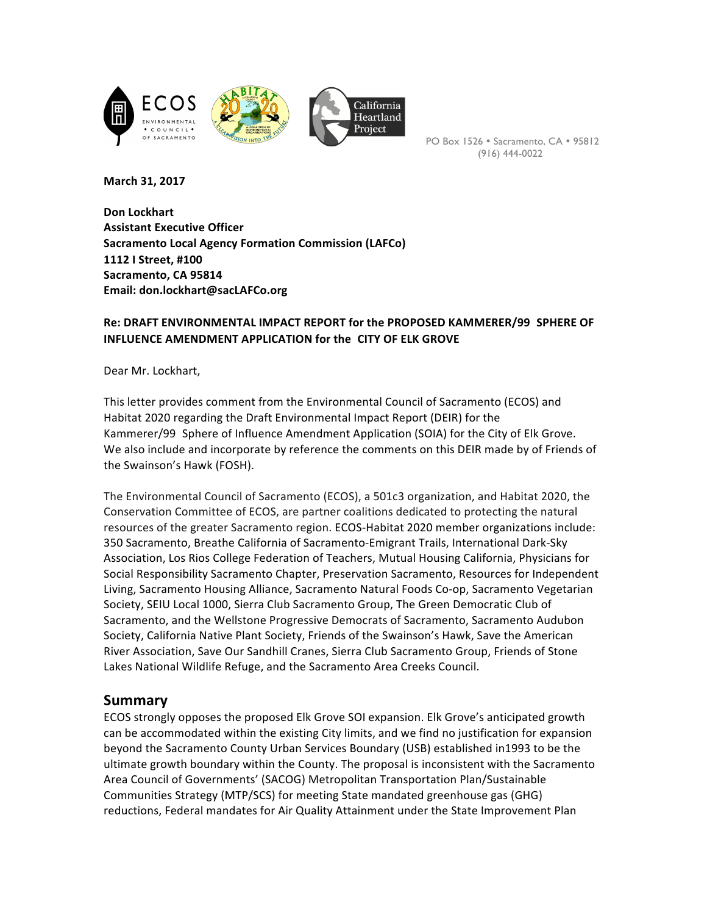

PO Box 1526 · Sacramento, CA · 95812 (916) 444-0022

**March 31, 2017**

**Don Lockhart Assistant Executive Officer Sacramento Local Agency Formation Commission (LAFCo) 1112 I Street, #100**  Sacramento, CA 95814 **Email: don.lockhart@sacLAFCo.org**

## Re: DRAFT ENVIRONMENTAL IMPACT REPORT for the PROPOSED KAMMERER/99 SPHERE OF **INFLUENCE AMENDMENT APPLICATION for the CITY OF ELK GROVE**

Dear Mr. Lockhart,

This letter provides comment from the Environmental Council of Sacramento (ECOS) and Habitat 2020 regarding the Draft Environmental Impact Report (DEIR) for the Kammerer/99 Sphere of Influence Amendment Application (SOIA) for the City of Elk Grove. We also include and incorporate by reference the comments on this DEIR made by of Friends of the Swainson's Hawk (FOSH).

The Environmental Council of Sacramento (ECOS), a 501c3 organization, and Habitat 2020, the Conservation Committee of ECOS, are partner coalitions dedicated to protecting the natural resources of the greater Sacramento region. ECOS-Habitat 2020 member organizations include: 350 Sacramento, Breathe California of Sacramento-Emigrant Trails, International Dark-Sky Association, Los Rios College Federation of Teachers, Mutual Housing California, Physicians for Social Responsibility Sacramento Chapter, Preservation Sacramento, Resources for Independent Living, Sacramento Housing Alliance, Sacramento Natural Foods Co-op, Sacramento Vegetarian Society, SEIU Local 1000, Sierra Club Sacramento Group, The Green Democratic Club of Sacramento, and the Wellstone Progressive Democrats of Sacramento, Sacramento Audubon Society, California Native Plant Society, Friends of the Swainson's Hawk, Save the American River Association, Save Our Sandhill Cranes, Sierra Club Sacramento Group, Friends of Stone Lakes National Wildlife Refuge, and the Sacramento Area Creeks Council.

## **Summary**

ECOS strongly opposes the proposed Elk Grove SOI expansion. Elk Grove's anticipated growth can be accommodated within the existing City limits, and we find no justification for expansion beyond the Sacramento County Urban Services Boundary (USB) established in1993 to be the ultimate growth boundary within the County. The proposal is inconsistent with the Sacramento Area Council of Governments' (SACOG) Metropolitan Transportation Plan/Sustainable Communities Strategy (MTP/SCS) for meeting State mandated greenhouse gas (GHG) reductions, Federal mandates for Air Quality Attainment under the State Improvement Plan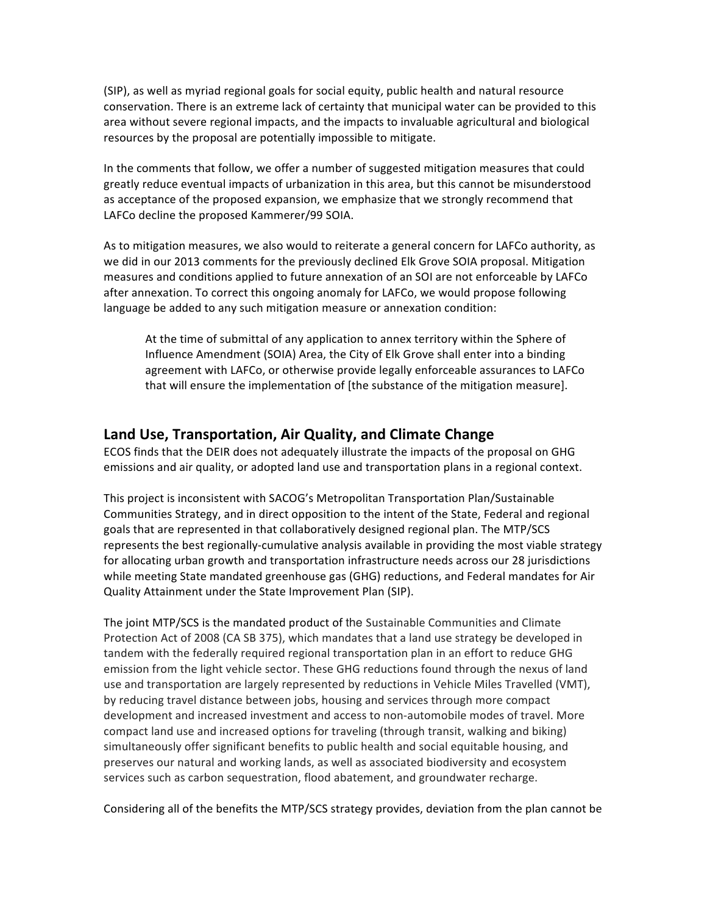(SIP), as well as myriad regional goals for social equity, public health and natural resource conservation. There is an extreme lack of certainty that municipal water can be provided to this area without severe regional impacts, and the impacts to invaluable agricultural and biological resources by the proposal are potentially impossible to mitigate.

In the comments that follow, we offer a number of suggested mitigation measures that could greatly reduce eventual impacts of urbanization in this area, but this cannot be misunderstood as acceptance of the proposed expansion, we emphasize that we strongly recommend that LAFCo decline the proposed Kammerer/99 SOIA.

As to mitigation measures, we also would to reiterate a general concern for LAFCo authority, as we did in our 2013 comments for the previously declined Elk Grove SOIA proposal. Mitigation measures and conditions applied to future annexation of an SOI are not enforceable by LAFCo after annexation. To correct this ongoing anomaly for LAFCo, we would propose following language be added to any such mitigation measure or annexation condition:

At the time of submittal of any application to annex territory within the Sphere of Influence Amendment (SOIA) Area, the City of Elk Grove shall enter into a binding agreement with LAFCo, or otherwise provide legally enforceable assurances to LAFCo that will ensure the implementation of [the substance of the mitigation measure].

# **Land Use, Transportation, Air Quality, and Climate Change**

ECOS finds that the DEIR does not adequately illustrate the impacts of the proposal on GHG emissions and air quality, or adopted land use and transportation plans in a regional context.

This project is inconsistent with SACOG's Metropolitan Transportation Plan/Sustainable Communities Strategy, and in direct opposition to the intent of the State, Federal and regional goals that are represented in that collaboratively designed regional plan. The MTP/SCS represents the best regionally-cumulative analysis available in providing the most viable strategy for allocating urban growth and transportation infrastructure needs across our 28 jurisdictions while meeting State mandated greenhouse gas (GHG) reductions, and Federal mandates for Air Quality Attainment under the State Improvement Plan (SIP).

The joint MTP/SCS is the mandated product of the Sustainable Communities and Climate Protection Act of 2008 (CA SB 375), which mandates that a land use strategy be developed in tandem with the federally required regional transportation plan in an effort to reduce GHG emission from the light vehicle sector. These GHG reductions found through the nexus of land use and transportation are largely represented by reductions in Vehicle Miles Travelled (VMT), by reducing travel distance between jobs, housing and services through more compact development and increased investment and access to non-automobile modes of travel. More compact land use and increased options for traveling (through transit, walking and biking) simultaneously offer significant benefits to public health and social equitable housing, and preserves our natural and working lands, as well as associated biodiversity and ecosystem services such as carbon sequestration, flood abatement, and groundwater recharge.

Considering all of the benefits the MTP/SCS strategy provides, deviation from the plan cannot be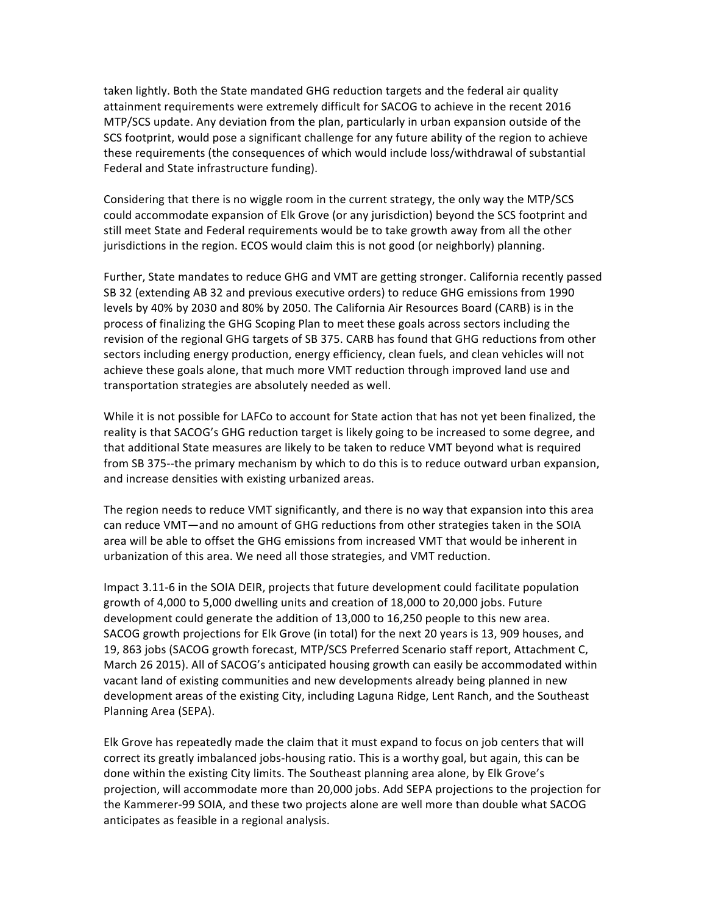taken lightly. Both the State mandated GHG reduction targets and the federal air quality attainment requirements were extremely difficult for SACOG to achieve in the recent 2016 MTP/SCS update. Any deviation from the plan, particularly in urban expansion outside of the SCS footprint, would pose a significant challenge for any future ability of the region to achieve these requirements (the consequences of which would include loss/withdrawal of substantial Federal and State infrastructure funding).

Considering that there is no wiggle room in the current strategy, the only way the MTP/SCS could accommodate expansion of Elk Grove (or any jurisdiction) beyond the SCS footprint and still meet State and Federal requirements would be to take growth away from all the other jurisdictions in the region. ECOS would claim this is not good (or neighborly) planning.

Further, State mandates to reduce GHG and VMT are getting stronger. California recently passed SB 32 (extending AB 32 and previous executive orders) to reduce GHG emissions from 1990 levels by 40% by 2030 and 80% by 2050. The California Air Resources Board (CARB) is in the process of finalizing the GHG Scoping Plan to meet these goals across sectors including the revision of the regional GHG targets of SB 375. CARB has found that GHG reductions from other sectors including energy production, energy efficiency, clean fuels, and clean vehicles will not achieve these goals alone, that much more VMT reduction through improved land use and transportation strategies are absolutely needed as well.

While it is not possible for LAFCo to account for State action that has not yet been finalized, the reality is that SACOG's GHG reduction target is likely going to be increased to some degree, and that additional State measures are likely to be taken to reduce VMT beyond what is required from SB 375--the primary mechanism by which to do this is to reduce outward urban expansion, and increase densities with existing urbanized areas.

The region needs to reduce VMT significantly, and there is no way that expansion into this area can reduce VMT—and no amount of GHG reductions from other strategies taken in the SOIA area will be able to offset the GHG emissions from increased VMT that would be inherent in urbanization of this area. We need all those strategies, and VMT reduction.

Impact 3.11-6 in the SOIA DEIR, projects that future development could facilitate population growth of 4,000 to 5,000 dwelling units and creation of  $18,000$  to  $20,000$  jobs. Future development could generate the addition of 13,000 to 16,250 people to this new area. SACOG growth projections for Elk Grove (in total) for the next 20 years is 13, 909 houses, and 19, 863 jobs (SACOG growth forecast, MTP/SCS Preferred Scenario staff report, Attachment C, March 26 2015). All of SACOG's anticipated housing growth can easily be accommodated within vacant land of existing communities and new developments already being planned in new development areas of the existing City, including Laguna Ridge, Lent Ranch, and the Southeast Planning Area (SEPA).

Elk Grove has repeatedly made the claim that it must expand to focus on job centers that will correct its greatly imbalanced jobs-housing ratio. This is a worthy goal, but again, this can be done within the existing City limits. The Southeast planning area alone, by Elk Grove's projection, will accommodate more than 20,000 jobs. Add SEPA projections to the projection for the Kammerer-99 SOIA, and these two projects alone are well more than double what SACOG anticipates as feasible in a regional analysis.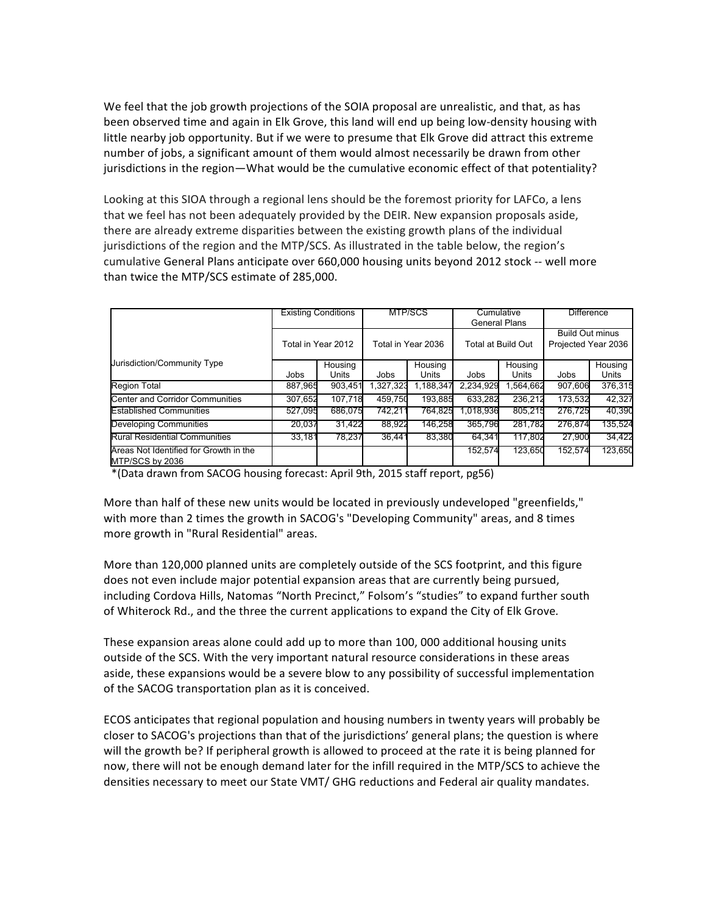We feel that the job growth projections of the SOIA proposal are unrealistic, and that, as has been observed time and again in Elk Grove, this land will end up being low-density housing with little nearby job opportunity. But if we were to presume that Elk Grove did attract this extreme number of jobs, a significant amount of them would almost necessarily be drawn from other jurisdictions in the region—What would be the cumulative economic effect of that potentiality?

Looking at this SIOA through a regional lens should be the foremost priority for LAFCo, a lens that we feel has not been adequately provided by the DEIR. New expansion proposals aside, there are already extreme disparities between the existing growth plans of the individual jurisdictions of the region and the MTP/SCS. As illustrated in the table below, the region's cumulative General Plans anticipate over 660,000 housing units beyond 2012 stock -- well more than twice the MTP/SCS estimate of 285,000.

|                                                           | <b>Existing Conditions</b><br>Total in Year 2012 |                  | MTP/SCS<br>Total in Year 2036 |                  | Cumulative<br><b>General Plans</b><br>Total at Build Out |                  | <b>Difference</b><br><b>Build Out minus</b><br>Projected Year 2036 |                  |
|-----------------------------------------------------------|--------------------------------------------------|------------------|-------------------------------|------------------|----------------------------------------------------------|------------------|--------------------------------------------------------------------|------------------|
|                                                           |                                                  |                  |                               |                  |                                                          |                  |                                                                    |                  |
| Jurisdiction/Community Type                               | Jobs                                             | Housing<br>Units | Jobs                          | Housing<br>Units | Jobs                                                     | Housing<br>Units | Jobs                                                               | Housing<br>Units |
| <b>Region Total</b>                                       | 887,965                                          | 903,451          | 1,327,323                     | 1,188,347        | 2,234,929                                                | .564,662         | 907,606                                                            | 376,315          |
| <b>Center and Corridor Communities</b>                    | 307,652                                          | 107.718          | 459.750                       | 193.885          | 633,282                                                  | 236.212          | 173,532                                                            | 42,327           |
| <b>Established Communities</b>                            | 527,095                                          | 686.075          | 742.211                       | 764,825          | .018,936                                                 | 805.215          | 276.725                                                            | 40,390           |
| Developing Communities                                    | 20,037                                           | 31,422           | 88,922                        | 146.258          | 365.796                                                  | 281.782          | 276.874                                                            | 135,524          |
| <b>Rural Residential Communities</b>                      | 33,181                                           | 78.237           | 36.441                        | 83.380           | 64.341                                                   | 117.802          | 27,900                                                             | 34.422           |
| Areas Not Identified for Growth in the<br>MTP/SCS by 2036 |                                                  |                  |                               |                  | 152,574                                                  | 123.650          | 152.574                                                            | 123,650          |

\*(Data drawn from SACOG housing forecast: April 9th, 2015 staff report, pg56)

More than half of these new units would be located in previously undeveloped "greenfields," with more than 2 times the growth in SACOG's "Developing Community" areas, and 8 times more growth in "Rural Residential" areas.

More than 120,000 planned units are completely outside of the SCS footprint, and this figure does not even include major potential expansion areas that are currently being pursued, including Cordova Hills, Natomas "North Precinct," Folsom's "studies" to expand further south of Whiterock Rd., and the three the current applications to expand the City of Elk Grove.

These expansion areas alone could add up to more than 100, 000 additional housing units outside of the SCS. With the very important natural resource considerations in these areas aside, these expansions would be a severe blow to any possibility of successful implementation of the SACOG transportation plan as it is conceived.

ECOS anticipates that regional population and housing numbers in twenty years will probably be closer to SACOG's projections than that of the jurisdictions' general plans; the question is where will the growth be? If peripheral growth is allowed to proceed at the rate it is being planned for now, there will not be enough demand later for the infill required in the MTP/SCS to achieve the densities necessary to meet our State VMT/ GHG reductions and Federal air quality mandates.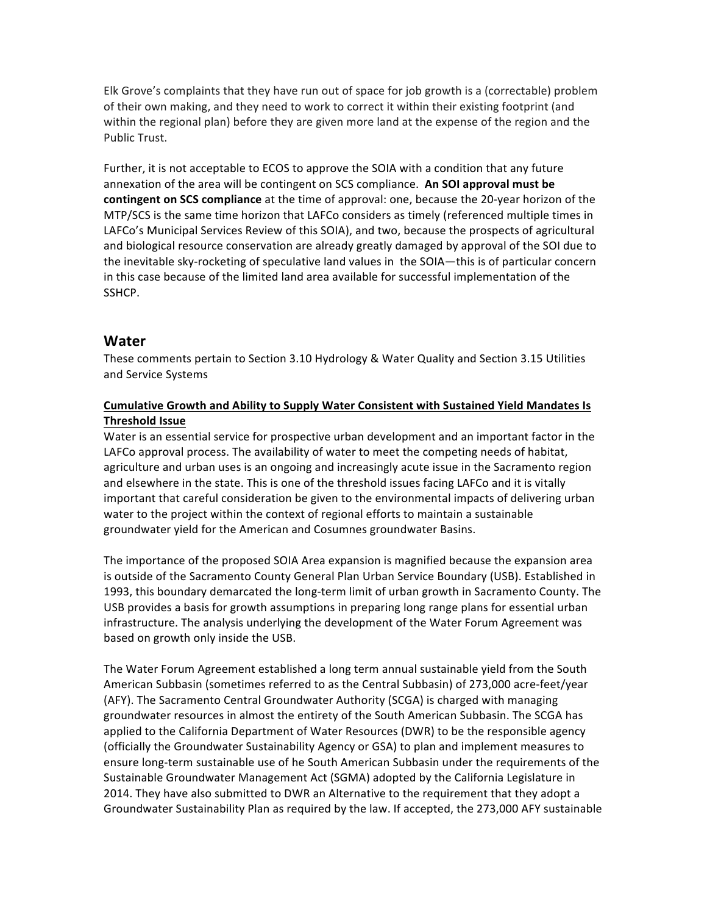Elk Grove's complaints that they have run out of space for job growth is a (correctable) problem of their own making, and they need to work to correct it within their existing footprint (and within the regional plan) before they are given more land at the expense of the region and the Public Trust.

Further, it is not acceptable to ECOS to approve the SOIA with a condition that any future annexation of the area will be contingent on SCS compliance. An SOI approval must be **contingent on SCS compliance** at the time of approval: one, because the 20-year horizon of the MTP/SCS is the same time horizon that LAFCo considers as timely (referenced multiple times in LAFCo's Municipal Services Review of this SOIA), and two, because the prospects of agricultural and biological resource conservation are already greatly damaged by approval of the SOI due to the inevitable sky-rocketing of speculative land values in the SOIA—this is of particular concern in this case because of the limited land area available for successful implementation of the SSHCP.

# **Water**

These comments pertain to Section 3.10 Hydrology & Water Quality and Section 3.15 Utilities and Service Systems

## Cumulative Growth and Ability to Supply Water Consistent with Sustained Yield Mandates Is **Threshold Issue**

Water is an essential service for prospective urban development and an important factor in the LAFCo approval process. The availability of water to meet the competing needs of habitat, agriculture and urban uses is an ongoing and increasingly acute issue in the Sacramento region and elsewhere in the state. This is one of the threshold issues facing LAFCo and it is vitally important that careful consideration be given to the environmental impacts of delivering urban water to the project within the context of regional efforts to maintain a sustainable groundwater yield for the American and Cosumnes groundwater Basins.

The importance of the proposed SOIA Area expansion is magnified because the expansion area is outside of the Sacramento County General Plan Urban Service Boundary (USB). Established in 1993, this boundary demarcated the long-term limit of urban growth in Sacramento County. The USB provides a basis for growth assumptions in preparing long range plans for essential urban infrastructure. The analysis underlying the development of the Water Forum Agreement was based on growth only inside the USB.

The Water Forum Agreement established a long term annual sustainable yield from the South American Subbasin (sometimes referred to as the Central Subbasin) of 273,000 acre-feet/year (AFY). The Sacramento Central Groundwater Authority (SCGA) is charged with managing groundwater resources in almost the entirety of the South American Subbasin. The SCGA has applied to the California Department of Water Resources (DWR) to be the responsible agency (officially the Groundwater Sustainability Agency or GSA) to plan and implement measures to ensure long-term sustainable use of he South American Subbasin under the requirements of the Sustainable Groundwater Management Act (SGMA) adopted by the California Legislature in 2014. They have also submitted to DWR an Alternative to the requirement that they adopt a Groundwater Sustainability Plan as required by the law. If accepted, the 273,000 AFY sustainable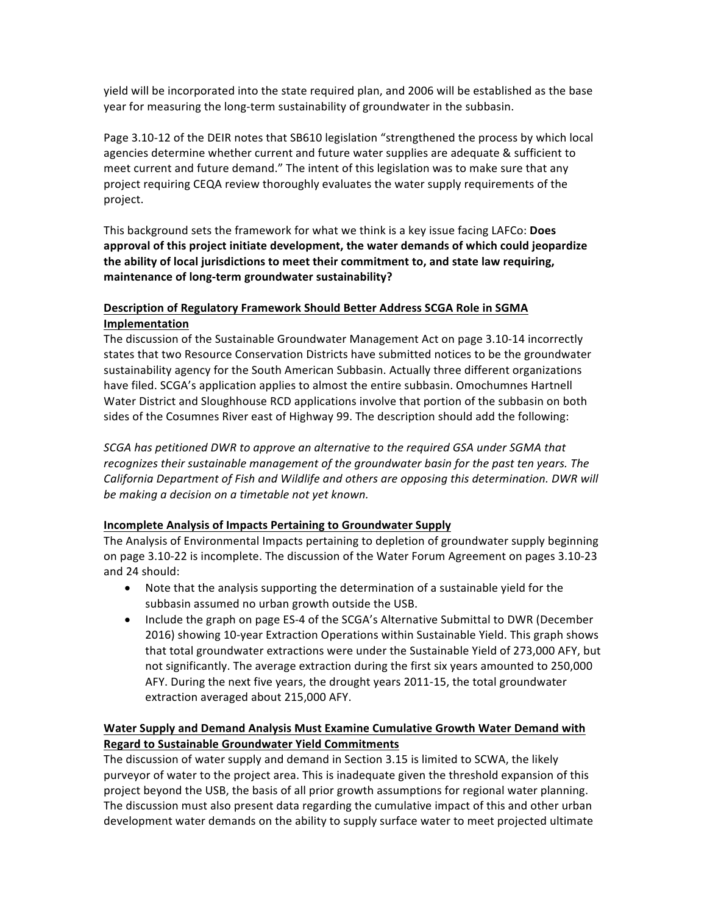yield will be incorporated into the state required plan, and 2006 will be established as the base year for measuring the long-term sustainability of groundwater in the subbasin.

Page 3.10-12 of the DEIR notes that SB610 legislation "strengthened the process by which local agencies determine whether current and future water supplies are adequate & sufficient to meet current and future demand." The intent of this legislation was to make sure that any project requiring CEQA review thoroughly evaluates the water supply requirements of the project. 

This background sets the framework for what we think is a key issue facing LAFCo: **Does** approval of this project initiate development, the water demands of which could jeopardize the ability of local jurisdictions to meet their commitment to, and state law requiring, maintenance of long-term groundwater sustainability?

## **Description of Regulatory Framework Should Better Address SCGA Role in SGMA Implementation**

The discussion of the Sustainable Groundwater Management Act on page 3.10-14 incorrectly states that two Resource Conservation Districts have submitted notices to be the groundwater sustainability agency for the South American Subbasin. Actually three different organizations have filed. SCGA's application applies to almost the entire subbasin. Omochumnes Hartnell Water District and Sloughhouse RCD applications involve that portion of the subbasin on both sides of the Cosumnes River east of Highway 99. The description should add the following:

*SCGA* has petitioned DWR to approve an alternative to the required GSA under SGMA that recognizes their sustainable management of the groundwater basin for the past ten years. The California Department of Fish and Wildlife and others are opposing this determination. DWR will be making a decision on a timetable not yet known.

### **Incomplete Analysis of Impacts Pertaining to Groundwater Supply**

The Analysis of Environmental Impacts pertaining to depletion of groundwater supply beginning on page 3.10-22 is incomplete. The discussion of the Water Forum Agreement on pages 3.10-23 and 24 should:

- Note that the analysis supporting the determination of a sustainable yield for the subbasin assumed no urban growth outside the USB.
- Include the graph on page ES-4 of the SCGA's Alternative Submittal to DWR (December 2016) showing 10-year Extraction Operations within Sustainable Yield. This graph shows that total groundwater extractions were under the Sustainable Yield of 273,000 AFY, but not significantly. The average extraction during the first six years amounted to 250,000 AFY. During the next five years, the drought years 2011-15, the total groundwater extraction averaged about 215,000 AFY.

## **Water Supply and Demand Analysis Must Examine Cumulative Growth Water Demand with Regard to Sustainable Groundwater Yield Commitments**

The discussion of water supply and demand in Section 3.15 is limited to SCWA, the likely purveyor of water to the project area. This is inadequate given the threshold expansion of this project beyond the USB, the basis of all prior growth assumptions for regional water planning. The discussion must also present data regarding the cumulative impact of this and other urban development water demands on the ability to supply surface water to meet projected ultimate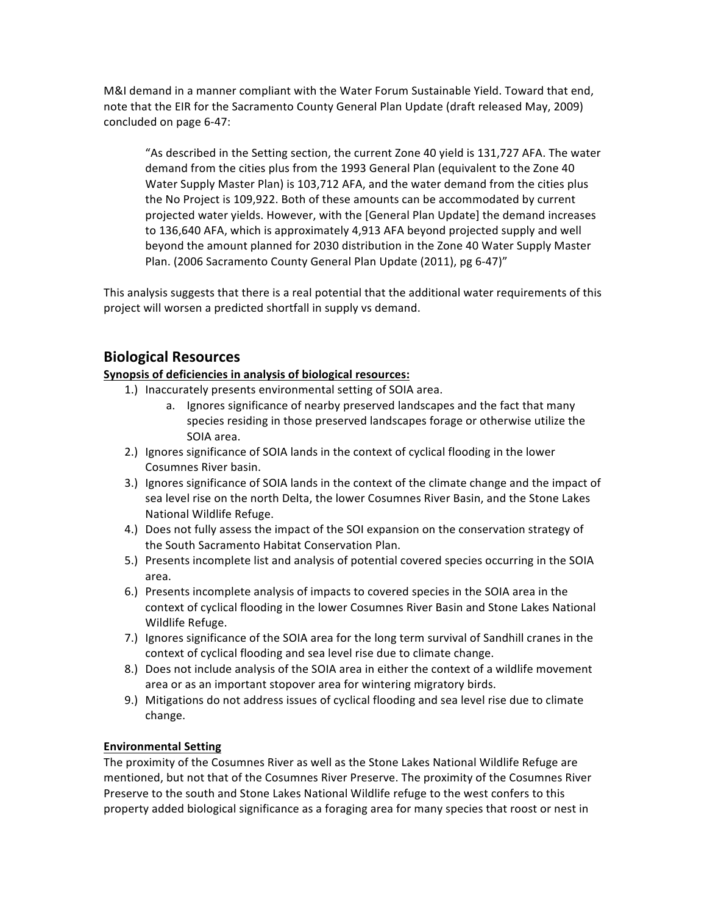M&I demand in a manner compliant with the Water Forum Sustainable Yield. Toward that end, note that the EIR for the Sacramento County General Plan Update (draft released May, 2009) concluded on page 6-47:

"As described in the Setting section, the current Zone 40 yield is 131,727 AFA. The water demand from the cities plus from the 1993 General Plan (equivalent to the Zone 40 Water Supply Master Plan) is 103,712 AFA, and the water demand from the cities plus the No Project is 109,922. Both of these amounts can be accommodated by current projected water yields. However, with the [General Plan Update] the demand increases to 136,640 AFA, which is approximately 4,913 AFA beyond projected supply and well beyond the amount planned for 2030 distribution in the Zone 40 Water Supply Master Plan. (2006 Sacramento County General Plan Update (2011), pg 6-47)"

This analysis suggests that there is a real potential that the additional water requirements of this project will worsen a predicted shortfall in supply vs demand.

# **Biological Resources**

### **Synopsis of deficiencies in analysis of biological resources:**

- 1.) Inaccurately presents environmental setting of SOIA area.
	- a. Ignores significance of nearby preserved landscapes and the fact that many species residing in those preserved landscapes forage or otherwise utilize the SOIA area.
- 2.) Ignores significance of SOIA lands in the context of cyclical flooding in the lower Cosumnes River basin.
- 3.) Ignores significance of SOIA lands in the context of the climate change and the impact of sea level rise on the north Delta, the lower Cosumnes River Basin, and the Stone Lakes National Wildlife Refuge.
- 4.) Does not fully assess the impact of the SOI expansion on the conservation strategy of the South Sacramento Habitat Conservation Plan.
- 5.) Presents incomplete list and analysis of potential covered species occurring in the SOIA area.
- 6.) Presents incomplete analysis of impacts to covered species in the SOIA area in the context of cyclical flooding in the lower Cosumnes River Basin and Stone Lakes National Wildlife Refuge.
- 7.) Ignores significance of the SOIA area for the long term survival of Sandhill cranes in the context of cyclical flooding and sea level rise due to climate change.
- 8.) Does not include analysis of the SOIA area in either the context of a wildlife movement area or as an important stopover area for wintering migratory birds.
- 9.) Mitigations do not address issues of cyclical flooding and sea level rise due to climate change.

### **Environmental Setting**

The proximity of the Cosumnes River as well as the Stone Lakes National Wildlife Refuge are mentioned, but not that of the Cosumnes River Preserve. The proximity of the Cosumnes River Preserve to the south and Stone Lakes National Wildlife refuge to the west confers to this property added biological significance as a foraging area for many species that roost or nest in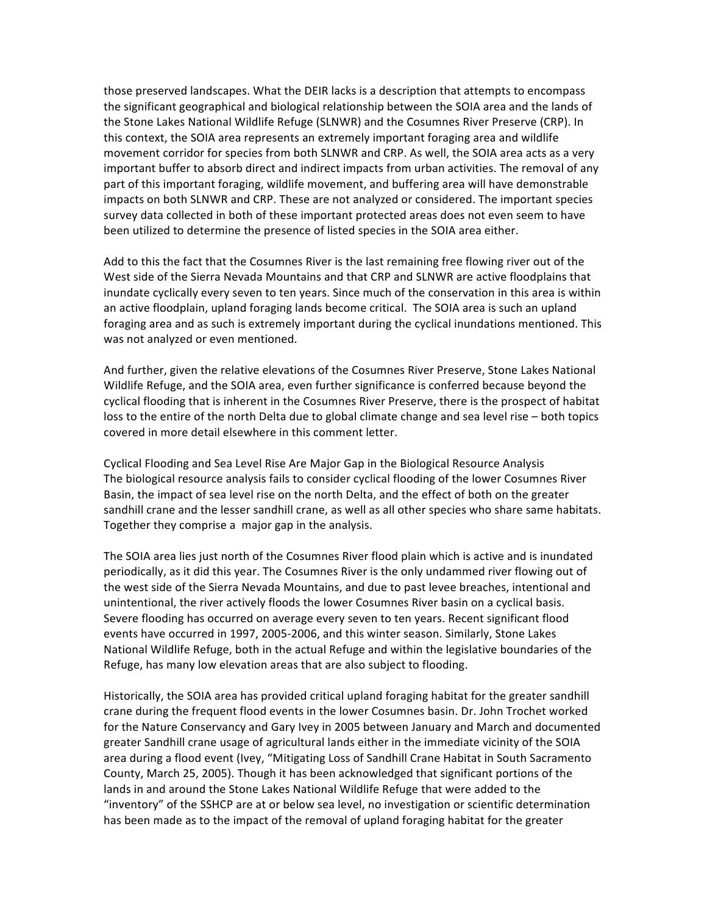those preserved landscapes. What the DEIR lacks is a description that attempts to encompass the significant geographical and biological relationship between the SOIA area and the lands of the Stone Lakes National Wildlife Refuge (SLNWR) and the Cosumnes River Preserve (CRP). In this context, the SOIA area represents an extremely important foraging area and wildlife movement corridor for species from both SLNWR and CRP. As well, the SOIA area acts as a very important buffer to absorb direct and indirect impacts from urban activities. The removal of any part of this important foraging, wildlife movement, and buffering area will have demonstrable impacts on both SLNWR and CRP. These are not analyzed or considered. The important species survey data collected in both of these important protected areas does not even seem to have been utilized to determine the presence of listed species in the SOIA area either.

Add to this the fact that the Cosumnes River is the last remaining free flowing river out of the West side of the Sierra Nevada Mountains and that CRP and SLNWR are active floodplains that inundate cyclically every seven to ten years. Since much of the conservation in this area is within an active floodplain, upland foraging lands become critical. The SOIA area is such an upland foraging area and as such is extremely important during the cyclical inundations mentioned. This was not analyzed or even mentioned.

And further, given the relative elevations of the Cosumnes River Preserve, Stone Lakes National Wildlife Refuge, and the SOIA area, even further significance is conferred because beyond the cyclical flooding that is inherent in the Cosumnes River Preserve, there is the prospect of habitat loss to the entire of the north Delta due to global climate change and sea level rise – both topics covered in more detail elsewhere in this comment letter.

Cyclical Flooding and Sea Level Rise Are Major Gap in the Biological Resource Analysis The biological resource analysis fails to consider cyclical flooding of the lower Cosumnes River Basin, the impact of sea level rise on the north Delta, and the effect of both on the greater sandhill crane and the lesser sandhill crane, as well as all other species who share same habitats. Together they comprise a major gap in the analysis.

The SOIA area lies just north of the Cosumnes River flood plain which is active and is inundated periodically, as it did this year. The Cosumnes River is the only undammed river flowing out of the west side of the Sierra Nevada Mountains, and due to past levee breaches, intentional and unintentional, the river actively floods the lower Cosumnes River basin on a cyclical basis. Severe flooding has occurred on average every seven to ten years. Recent significant flood events have occurred in 1997, 2005-2006, and this winter season. Similarly, Stone Lakes National Wildlife Refuge, both in the actual Refuge and within the legislative boundaries of the Refuge, has many low elevation areas that are also subject to flooding.

Historically, the SOIA area has provided critical upland foraging habitat for the greater sandhill crane during the frequent flood events in the lower Cosumnes basin. Dr. John Trochet worked for the Nature Conservancy and Gary Ivey in 2005 between January and March and documented greater Sandhill crane usage of agricultural lands either in the immediate vicinity of the SOIA area during a flood event (Ivey, "Mitigating Loss of Sandhill Crane Habitat in South Sacramento County, March 25, 2005). Though it has been acknowledged that significant portions of the lands in and around the Stone Lakes National Wildlife Refuge that were added to the "inventory" of the SSHCP are at or below sea level, no investigation or scientific determination has been made as to the impact of the removal of upland foraging habitat for the greater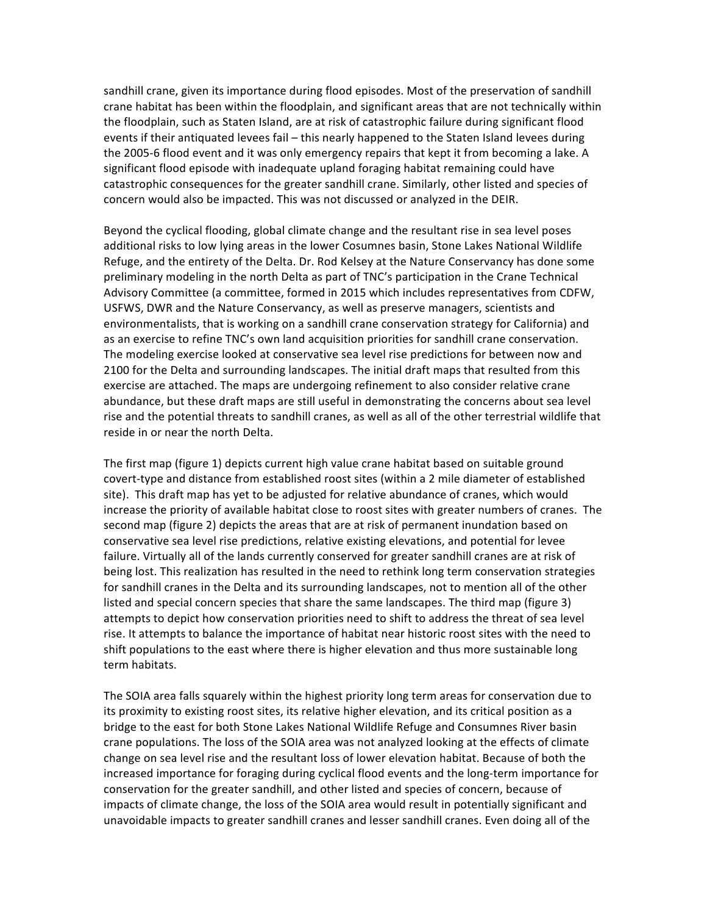sandhill crane, given its importance during flood episodes. Most of the preservation of sandhill crane habitat has been within the floodplain, and significant areas that are not technically within the floodplain, such as Staten Island, are at risk of catastrophic failure during significant flood events if their antiquated levees fail – this nearly happened to the Staten Island levees during the 2005-6 flood event and it was only emergency repairs that kept it from becoming a lake. A significant flood episode with inadequate upland foraging habitat remaining could have catastrophic consequences for the greater sandhill crane. Similarly, other listed and species of concern would also be impacted. This was not discussed or analyzed in the DEIR.

Beyond the cyclical flooding, global climate change and the resultant rise in sea level poses additional risks to low lying areas in the lower Cosumnes basin, Stone Lakes National Wildlife Refuge, and the entirety of the Delta. Dr. Rod Kelsey at the Nature Conservancy has done some preliminary modeling in the north Delta as part of TNC's participation in the Crane Technical Advisory Committee (a committee, formed in 2015 which includes representatives from CDFW, USFWS, DWR and the Nature Conservancy, as well as preserve managers, scientists and environmentalists, that is working on a sandhill crane conservation strategy for California) and as an exercise to refine TNC's own land acquisition priorities for sandhill crane conservation. The modeling exercise looked at conservative sea level rise predictions for between now and 2100 for the Delta and surrounding landscapes. The initial draft maps that resulted from this exercise are attached. The maps are undergoing refinement to also consider relative crane abundance, but these draft maps are still useful in demonstrating the concerns about sea level rise and the potential threats to sandhill cranes, as well as all of the other terrestrial wildlife that reside in or near the north Delta.

The first map (figure 1) depicts current high value crane habitat based on suitable ground covert-type and distance from established roost sites (within a 2 mile diameter of established site). This draft map has yet to be adjusted for relative abundance of cranes, which would increase the priority of available habitat close to roost sites with greater numbers of cranes. The second map (figure 2) depicts the areas that are at risk of permanent inundation based on conservative sea level rise predictions, relative existing elevations, and potential for levee failure. Virtually all of the lands currently conserved for greater sandhill cranes are at risk of being lost. This realization has resulted in the need to rethink long term conservation strategies for sandhill cranes in the Delta and its surrounding landscapes, not to mention all of the other listed and special concern species that share the same landscapes. The third map (figure 3) attempts to depict how conservation priorities need to shift to address the threat of sea level rise. It attempts to balance the importance of habitat near historic roost sites with the need to shift populations to the east where there is higher elevation and thus more sustainable long term habitats.

The SOIA area falls squarely within the highest priority long term areas for conservation due to its proximity to existing roost sites, its relative higher elevation, and its critical position as a bridge to the east for both Stone Lakes National Wildlife Refuge and Consumnes River basin crane populations. The loss of the SOIA area was not analyzed looking at the effects of climate change on sea level rise and the resultant loss of lower elevation habitat. Because of both the increased importance for foraging during cyclical flood events and the long-term importance for conservation for the greater sandhill, and other listed and species of concern, because of impacts of climate change, the loss of the SOIA area would result in potentially significant and unavoidable impacts to greater sandhill cranes and lesser sandhill cranes. Even doing all of the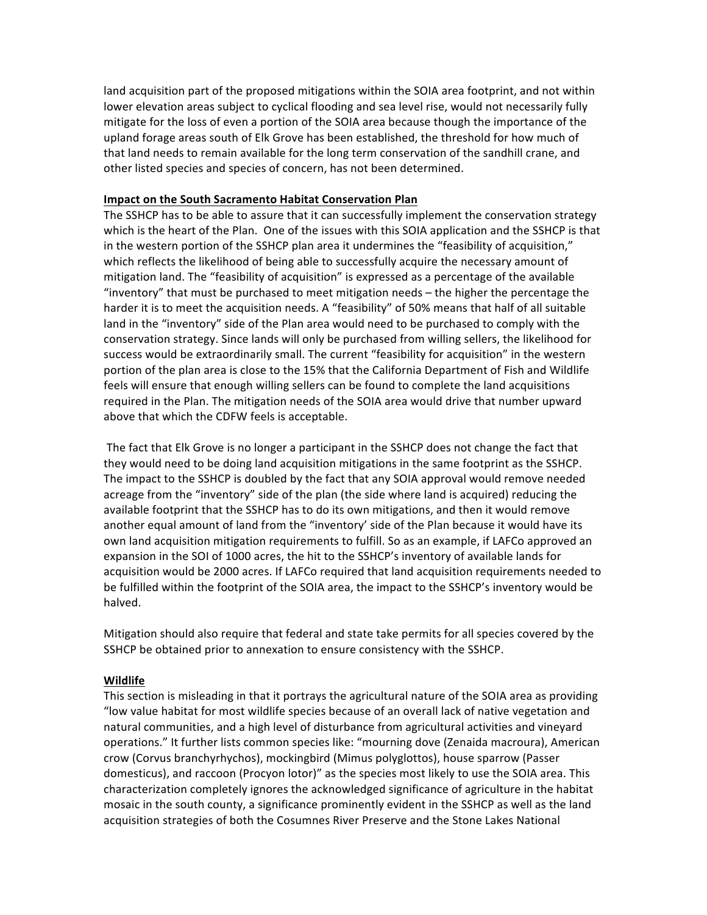land acquisition part of the proposed mitigations within the SOIA area footprint, and not within lower elevation areas subject to cyclical flooding and sea level rise, would not necessarily fully mitigate for the loss of even a portion of the SOIA area because though the importance of the upland forage areas south of Elk Grove has been established, the threshold for how much of that land needs to remain available for the long term conservation of the sandhill crane, and other listed species and species of concern, has not been determined.

#### **Impact on the South Sacramento Habitat Conservation Plan**

The SSHCP has to be able to assure that it can successfully implement the conservation strategy which is the heart of the Plan. One of the issues with this SOIA application and the SSHCP is that in the western portion of the SSHCP plan area it undermines the "feasibility of acquisition," which reflects the likelihood of being able to successfully acquire the necessary amount of mitigation land. The "feasibility of acquisition" is expressed as a percentage of the available "inventory" that must be purchased to meet mitigation needs  $-$  the higher the percentage the harder it is to meet the acquisition needs. A "feasibility" of 50% means that half of all suitable land in the "inventory" side of the Plan area would need to be purchased to comply with the conservation strategy. Since lands will only be purchased from willing sellers, the likelihood for success would be extraordinarily small. The current "feasibility for acquisition" in the western portion of the plan area is close to the 15% that the California Department of Fish and Wildlife feels will ensure that enough willing sellers can be found to complete the land acquisitions required in the Plan. The mitigation needs of the SOIA area would drive that number upward above that which the CDFW feels is acceptable.

The fact that Elk Grove is no longer a participant in the SSHCP does not change the fact that they would need to be doing land acquisition mitigations in the same footprint as the SSHCP. The impact to the SSHCP is doubled by the fact that any SOIA approval would remove needed acreage from the "inventory" side of the plan (the side where land is acquired) reducing the available footprint that the SSHCP has to do its own mitigations, and then it would remove another equal amount of land from the "inventory' side of the Plan because it would have its own land acquisition mitigation requirements to fulfill. So as an example, if LAFCo approved an expansion in the SOI of 1000 acres, the hit to the SSHCP's inventory of available lands for acquisition would be 2000 acres. If LAFCo required that land acquisition requirements needed to be fulfilled within the footprint of the SOIA area, the impact to the SSHCP's inventory would be halved. 

Mitigation should also require that federal and state take permits for all species covered by the SSHCP be obtained prior to annexation to ensure consistency with the SSHCP.

#### **Wildlife**

This section is misleading in that it portrays the agricultural nature of the SOIA area as providing "low value habitat for most wildlife species because of an overall lack of native vegetation and natural communities, and a high level of disturbance from agricultural activities and vineyard operations." It further lists common species like: "mourning dove (Zenaida macroura), American crow (Corvus branchyrhychos), mockingbird (Mimus polyglottos), house sparrow (Passer domesticus), and raccoon (Procyon lotor)" as the species most likely to use the SOIA area. This characterization completely ignores the acknowledged significance of agriculture in the habitat mosaic in the south county, a significance prominently evident in the SSHCP as well as the land acquisition strategies of both the Cosumnes River Preserve and the Stone Lakes National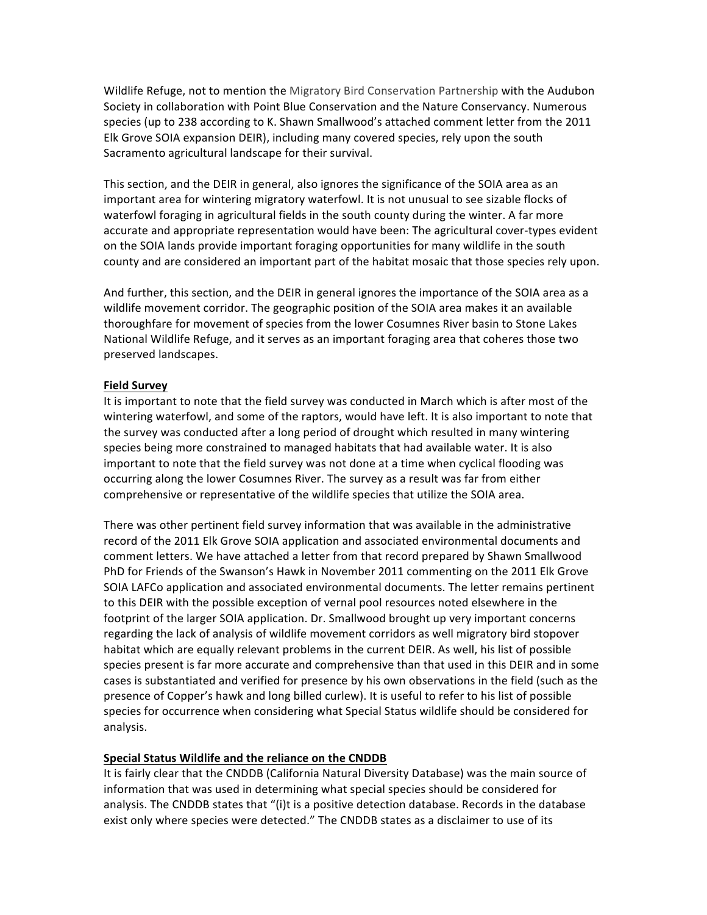Wildlife Refuge, not to mention the Migratory Bird Conservation Partnership with the Audubon Society in collaboration with Point Blue Conservation and the Nature Conservancy. Numerous species (up to 238 according to K. Shawn Smallwood's attached comment letter from the 2011 Elk Grove SOIA expansion DEIR), including many covered species, rely upon the south Sacramento agricultural landscape for their survival.

This section, and the DEIR in general, also ignores the significance of the SOIA area as an important area for wintering migratory waterfowl. It is not unusual to see sizable flocks of waterfowl foraging in agricultural fields in the south county during the winter. A far more accurate and appropriate representation would have been: The agricultural cover-types evident on the SOIA lands provide important foraging opportunities for many wildlife in the south county and are considered an important part of the habitat mosaic that those species rely upon.

And further, this section, and the DEIR in general ignores the importance of the SOIA area as a wildlife movement corridor. The geographic position of the SOIA area makes it an available thoroughfare for movement of species from the lower Cosumnes River basin to Stone Lakes National Wildlife Refuge, and it serves as an important foraging area that coheres those two preserved landscapes.

#### **Field Survey**

It is important to note that the field survey was conducted in March which is after most of the wintering waterfowl, and some of the raptors, would have left. It is also important to note that the survey was conducted after a long period of drought which resulted in many wintering species being more constrained to managed habitats that had available water. It is also important to note that the field survey was not done at a time when cyclical flooding was occurring along the lower Cosumnes River. The survey as a result was far from either comprehensive or representative of the wildlife species that utilize the SOIA area.

There was other pertinent field survey information that was available in the administrative record of the 2011 Elk Grove SOIA application and associated environmental documents and comment letters. We have attached a letter from that record prepared by Shawn Smallwood PhD for Friends of the Swanson's Hawk in November 2011 commenting on the 2011 Elk Grove SOIA LAFCo application and associated environmental documents. The letter remains pertinent to this DEIR with the possible exception of vernal pool resources noted elsewhere in the footprint of the larger SOIA application. Dr. Smallwood brought up very important concerns regarding the lack of analysis of wildlife movement corridors as well migratory bird stopover habitat which are equally relevant problems in the current DEIR. As well, his list of possible species present is far more accurate and comprehensive than that used in this DEIR and in some cases is substantiated and verified for presence by his own observations in the field (such as the presence of Copper's hawk and long billed curlew). It is useful to refer to his list of possible species for occurrence when considering what Special Status wildlife should be considered for analysis.

#### **Special Status Wildlife and the reliance on the CNDDB**

It is fairly clear that the CNDDB (California Natural Diversity Database) was the main source of information that was used in determining what special species should be considered for analysis. The CNDDB states that "(i)t is a positive detection database. Records in the database exist only where species were detected." The CNDDB states as a disclaimer to use of its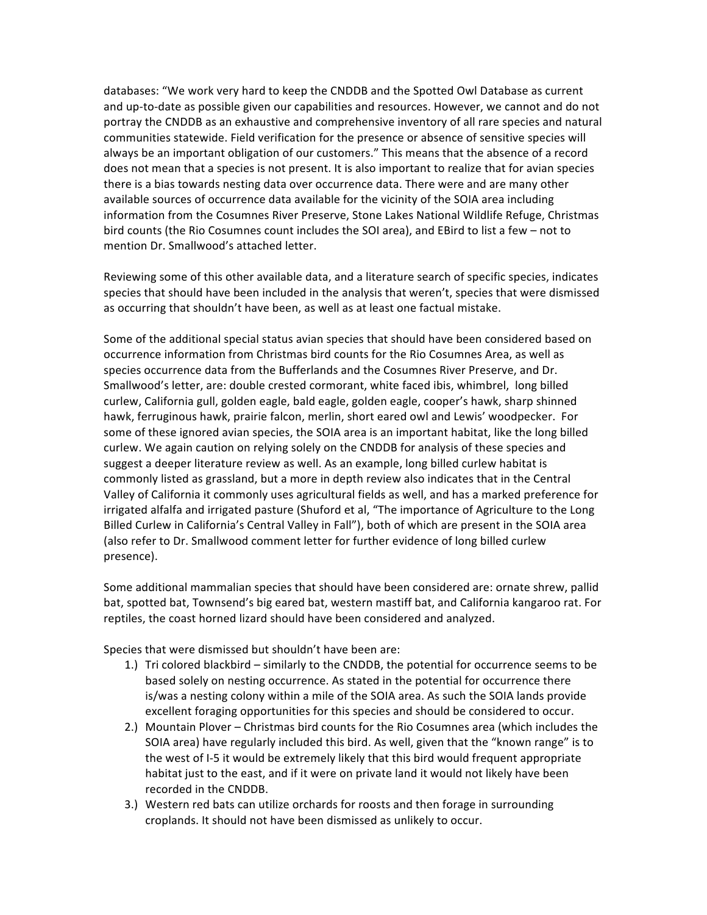databases: "We work very hard to keep the CNDDB and the Spotted Owl Database as current and up-to-date as possible given our capabilities and resources. However, we cannot and do not portray the CNDDB as an exhaustive and comprehensive inventory of all rare species and natural communities statewide. Field verification for the presence or absence of sensitive species will always be an important obligation of our customers." This means that the absence of a record does not mean that a species is not present. It is also important to realize that for avian species there is a bias towards nesting data over occurrence data. There were and are many other available sources of occurrence data available for the vicinity of the SOIA area including information from the Cosumnes River Preserve, Stone Lakes National Wildlife Refuge, Christmas bird counts (the Rio Cosumnes count includes the SOI area), and EBird to list a few - not to mention Dr. Smallwood's attached letter.

Reviewing some of this other available data, and a literature search of specific species, indicates species that should have been included in the analysis that weren't, species that were dismissed as occurring that shouldn't have been, as well as at least one factual mistake.

Some of the additional special status avian species that should have been considered based on occurrence information from Christmas bird counts for the Rio Cosumnes Area, as well as species occurrence data from the Bufferlands and the Cosumnes River Preserve, and Dr. Smallwood's letter, are: double crested cormorant, white faced ibis, whimbrel, long billed curlew, California gull, golden eagle, bald eagle, golden eagle, cooper's hawk, sharp shinned hawk, ferruginous hawk, prairie falcon, merlin, short eared owl and Lewis' woodpecker. For some of these ignored avian species, the SOIA area is an important habitat, like the long billed curlew. We again caution on relying solely on the CNDDB for analysis of these species and suggest a deeper literature review as well. As an example, long billed curlew habitat is commonly listed as grassland, but a more in depth review also indicates that in the Central Valley of California it commonly uses agricultural fields as well, and has a marked preference for irrigated alfalfa and irrigated pasture (Shuford et al, "The importance of Agriculture to the Long Billed Curlew in California's Central Valley in Fall"), both of which are present in the SOIA area (also refer to Dr. Smallwood comment letter for further evidence of long billed curlew presence).

Some additional mammalian species that should have been considered are: ornate shrew, pallid bat, spotted bat, Townsend's big eared bat, western mastiff bat, and California kangaroo rat. For reptiles, the coast horned lizard should have been considered and analyzed.

Species that were dismissed but shouldn't have been are:

- 1.) Tri colored blackbird  $-$  similarly to the CNDDB, the potential for occurrence seems to be based solely on nesting occurrence. As stated in the potential for occurrence there is/was a nesting colony within a mile of the SOIA area. As such the SOIA lands provide excellent foraging opportunities for this species and should be considered to occur.
- 2.) Mountain Plover Christmas bird counts for the Rio Cosumnes area (which includes the SOIA area) have regularly included this bird. As well, given that the "known range" is to the west of I-5 it would be extremely likely that this bird would frequent appropriate habitat just to the east, and if it were on private land it would not likely have been recorded in the CNDDB.
- 3.) Western red bats can utilize orchards for roosts and then forage in surrounding croplands. It should not have been dismissed as unlikely to occur.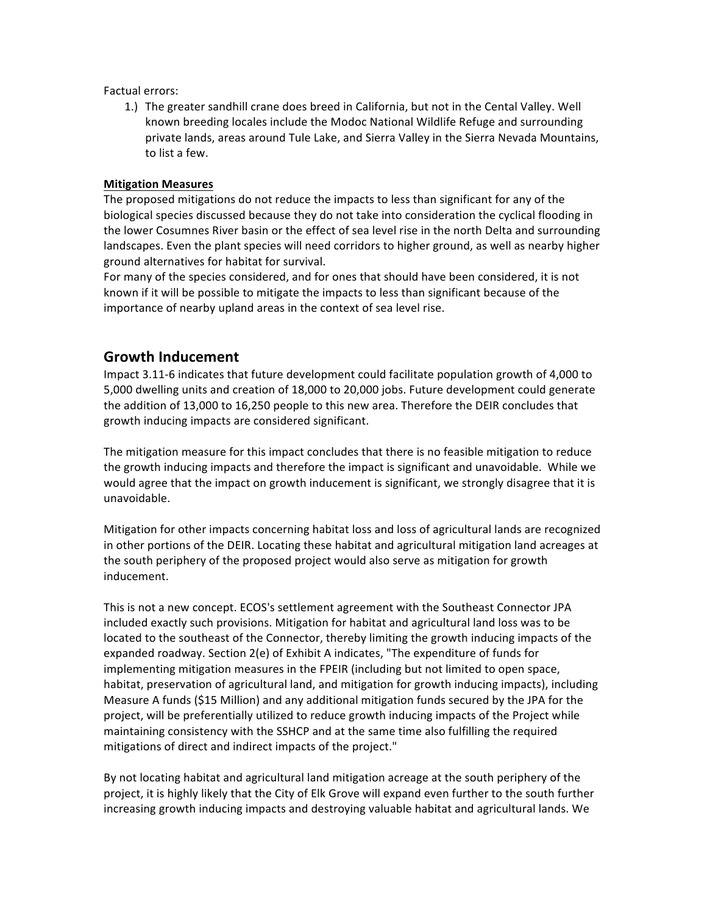Factual errors:

1.) The greater sandhill crane does breed in California, but not in the Cental Valley. Well known breeding locales include the Modoc National Wildlife Refuge and surrounding private lands, areas around Tule Lake, and Sierra Valley in the Sierra Nevada Mountains, to list a few.

### **Mitigation Measures**

The proposed mitigations do not reduce the impacts to less than significant for any of the biological species discussed because they do not take into consideration the cyclical flooding in the lower Cosumnes River basin or the effect of sea level rise in the north Delta and surrounding landscapes. Even the plant species will need corridors to higher ground, as well as nearby higher ground alternatives for habitat for survival.

For many of the species considered, and for ones that should have been considered, it is not known if it will be possible to mitigate the impacts to less than significant because of the importance of nearby upland areas in the context of sea level rise.

## **Growth Inducement**

Impact 3.11-6 indicates that future development could facilitate population growth of 4,000 to 5,000 dwelling units and creation of 18,000 to 20,000 jobs. Future development could generate the addition of 13,000 to 16,250 people to this new area. Therefore the DEIR concludes that growth inducing impacts are considered significant.

The mitigation measure for this impact concludes that there is no feasible mitigation to reduce the growth inducing impacts and therefore the impact is significant and unavoidable. While we would agree that the impact on growth inducement is significant, we strongly disagree that it is unavoidable.

Mitigation for other impacts concerning habitat loss and loss of agricultural lands are recognized in other portions of the DEIR. Locating these habitat and agricultural mitigation land acreages at the south periphery of the proposed project would also serve as mitigation for growth inducement.

This is not a new concept. ECOS's settlement agreement with the Southeast Connector JPA included exactly such provisions. Mitigation for habitat and agricultural land loss was to be located to the southeast of the Connector, thereby limiting the growth inducing impacts of the expanded roadway. Section 2(e) of Exhibit A indicates, "The expenditure of funds for implementing mitigation measures in the FPEIR (including but not limited to open space, habitat, preservation of agricultural land, and mitigation for growth inducing impacts), including Measure A funds (\$15 Million) and any additional mitigation funds secured by the JPA for the project, will be preferentially utilized to reduce growth inducing impacts of the Project while maintaining consistency with the SSHCP and at the same time also fulfilling the required mitigations of direct and indirect impacts of the project."

By not locating habitat and agricultural land mitigation acreage at the south periphery of the project, it is highly likely that the City of Elk Grove will expand even further to the south further increasing growth inducing impacts and destroying valuable habitat and agricultural lands. We